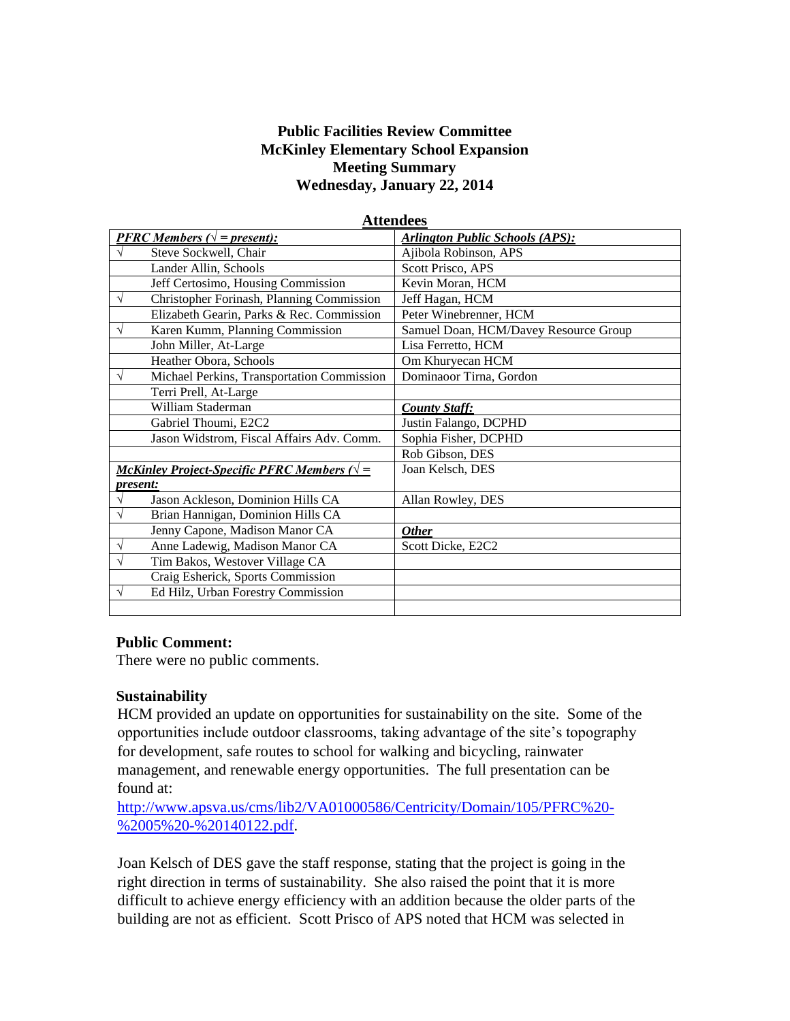## **Public Facilities Review Committee McKinley Elementary School Expansion Meeting Summary Wednesday, January 22, 2014**

| <b>Attendees</b>                                       |                                        |
|--------------------------------------------------------|----------------------------------------|
| <b>PFRC</b> Members ( $\sqrt{}$ = present):            | <b>Arlington Public Schools (APS):</b> |
| Steve Sockwell, Chair                                  | Ajibola Robinson, APS                  |
| Lander Allin, Schools                                  | Scott Prisco, APS                      |
| Jeff Certosimo, Housing Commission                     | Kevin Moran, HCM                       |
| $\sqrt{}$<br>Christopher Forinash, Planning Commission | Jeff Hagan, HCM                        |
| Elizabeth Gearin, Parks & Rec. Commission              | Peter Winebrenner, HCM                 |
| Karen Kumm, Planning Commission<br>$\sqrt{}$           | Samuel Doan, HCM/Davey Resource Group  |
| John Miller, At-Large                                  | Lisa Ferretto, HCM                     |
| Heather Obora, Schools                                 | Om Khuryecan HCM                       |
| Michael Perkins, Transportation Commission<br>V        | Dominaoor Tirna, Gordon                |
| Terri Prell, At-Large                                  |                                        |
| William Staderman                                      | <b>County Staff:</b>                   |
| Gabriel Thoumi, E2C2                                   | Justin Falango, DCPHD                  |
| Jason Widstrom, Fiscal Affairs Adv. Comm.              | Sophia Fisher, DCPHD                   |
|                                                        | Rob Gibson, DES                        |
| McKinley Project-Specific PFRC Members ( $\sqrt{}$ =   | Joan Kelsch, DES                       |
| present:                                               |                                        |
| Jason Ackleson, Dominion Hills CA                      | Allan Rowley, DES                      |
| Brian Hannigan, Dominion Hills CA                      |                                        |
| Jenny Capone, Madison Manor CA                         | <u>Other</u>                           |
| Anne Ladewig, Madison Manor CA<br>V                    | Scott Dicke, E2C2                      |
| Tim Bakos, Westover Village CA<br>$\sqrt{}$            |                                        |
| Craig Esherick, Sports Commission                      |                                        |
| Ed Hilz, Urban Forestry Commission<br>$\sqrt{}$        |                                        |
|                                                        |                                        |

#### **Public Comment:**

There were no public comments.

#### **Sustainability**

HCM provided an update on opportunities for sustainability on the site. Some of the opportunities include outdoor classrooms, taking advantage of the site's topography for development, safe routes to school for walking and bicycling, rainwater management, and renewable energy opportunities. The full presentation can be found at:

[http://www.apsva.us/cms/lib2/VA01000586/Centricity/Domain/105/PFRC%20-](http://www.apsva.us/cms/lib2/VA01000586/Centricity/Domain/105/PFRC%20-%2005%20-%20140122.pdf) [%2005%20-%20140122.pdf.](http://www.apsva.us/cms/lib2/VA01000586/Centricity/Domain/105/PFRC%20-%2005%20-%20140122.pdf)

Joan Kelsch of DES gave the staff response, stating that the project is going in the right direction in terms of sustainability. She also raised the point that it is more difficult to achieve energy efficiency with an addition because the older parts of the building are not as efficient. Scott Prisco of APS noted that HCM was selected in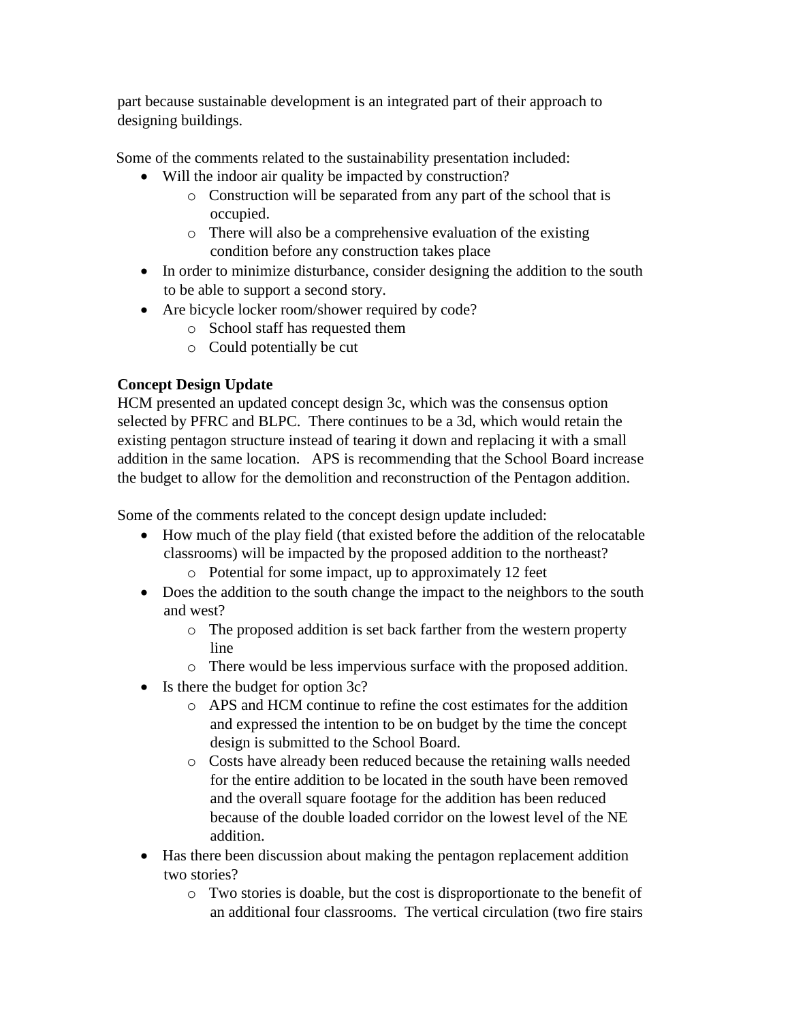part because sustainable development is an integrated part of their approach to designing buildings.

Some of the comments related to the sustainability presentation included:

- Will the indoor air quality be impacted by construction?
	- o Construction will be separated from any part of the school that is occupied.
	- o There will also be a comprehensive evaluation of the existing condition before any construction takes place
- In order to minimize disturbance, consider designing the addition to the south to be able to support a second story.
- Are bicycle locker room/shower required by code?
	- o School staff has requested them
	- o Could potentially be cut

# **Concept Design Update**

HCM presented an updated concept design 3c, which was the consensus option selected by PFRC and BLPC. There continues to be a 3d, which would retain the existing pentagon structure instead of tearing it down and replacing it with a small addition in the same location. APS is recommending that the School Board increase the budget to allow for the demolition and reconstruction of the Pentagon addition.

Some of the comments related to the concept design update included:

- How much of the play field (that existed before the addition of the relocatable classrooms) will be impacted by the proposed addition to the northeast?
	- o Potential for some impact, up to approximately 12 feet
- Does the addition to the south change the impact to the neighbors to the south and west?
	- o The proposed addition is set back farther from the western property line
	- o There would be less impervious surface with the proposed addition.
- $\bullet$  Is there the budget for option 3c?
	- o APS and HCM continue to refine the cost estimates for the addition and expressed the intention to be on budget by the time the concept design is submitted to the School Board.
	- o Costs have already been reduced because the retaining walls needed for the entire addition to be located in the south have been removed and the overall square footage for the addition has been reduced because of the double loaded corridor on the lowest level of the NE addition.
- Has there been discussion about making the pentagon replacement addition two stories?
	- o Two stories is doable, but the cost is disproportionate to the benefit of an additional four classrooms. The vertical circulation (two fire stairs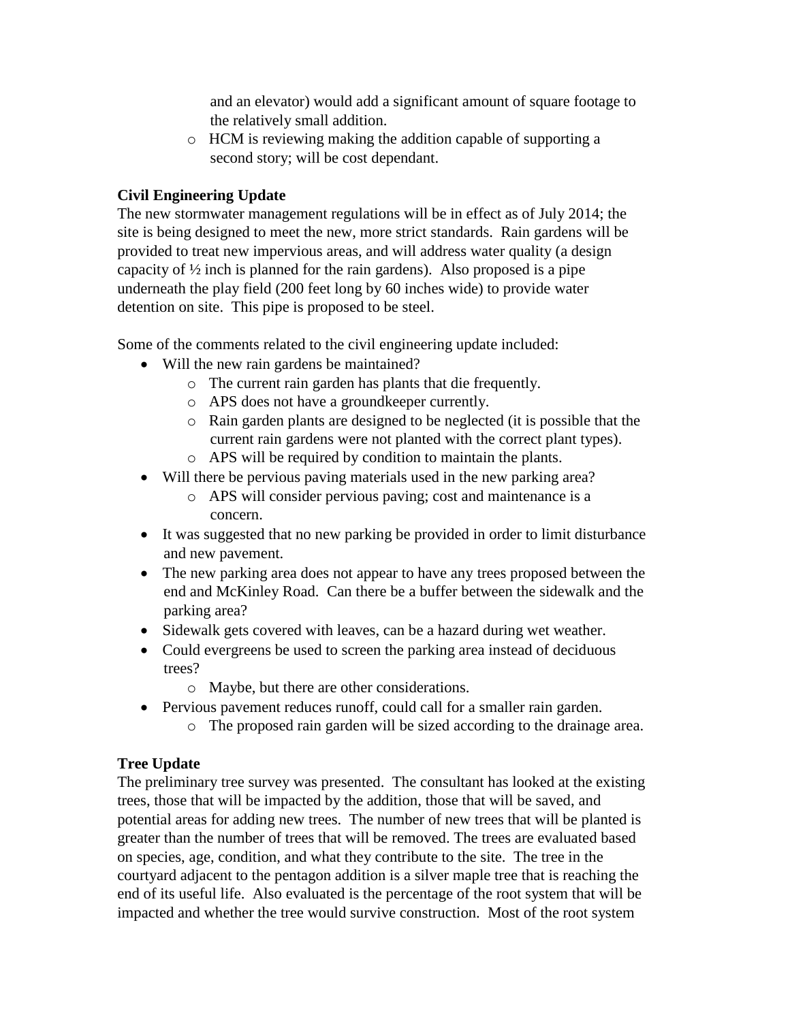and an elevator) would add a significant amount of square footage to the relatively small addition.

o HCM is reviewing making the addition capable of supporting a second story; will be cost dependant.

## **Civil Engineering Update**

The new stormwater management regulations will be in effect as of July 2014; the site is being designed to meet the new, more strict standards. Rain gardens will be provided to treat new impervious areas, and will address water quality (a design capacity of ½ inch is planned for the rain gardens). Also proposed is a pipe underneath the play field (200 feet long by 60 inches wide) to provide water detention on site. This pipe is proposed to be steel.

Some of the comments related to the civil engineering update included:

- Will the new rain gardens be maintained?
	- o The current rain garden has plants that die frequently.
	- o APS does not have a groundkeeper currently.
	- o Rain garden plants are designed to be neglected (it is possible that the current rain gardens were not planted with the correct plant types).
	- o APS will be required by condition to maintain the plants.
- Will there be pervious paving materials used in the new parking area?
	- o APS will consider pervious paving; cost and maintenance is a concern.
- It was suggested that no new parking be provided in order to limit disturbance and new pavement.
- The new parking area does not appear to have any trees proposed between the end and McKinley Road. Can there be a buffer between the sidewalk and the parking area?
- Sidewalk gets covered with leaves, can be a hazard during wet weather.
- Could evergreens be used to screen the parking area instead of deciduous trees?
	- o Maybe, but there are other considerations.
- Pervious pavement reduces runoff, could call for a smaller rain garden.
	- o The proposed rain garden will be sized according to the drainage area.

## **Tree Update**

The preliminary tree survey was presented. The consultant has looked at the existing trees, those that will be impacted by the addition, those that will be saved, and potential areas for adding new trees. The number of new trees that will be planted is greater than the number of trees that will be removed. The trees are evaluated based on species, age, condition, and what they contribute to the site. The tree in the courtyard adjacent to the pentagon addition is a silver maple tree that is reaching the end of its useful life. Also evaluated is the percentage of the root system that will be impacted and whether the tree would survive construction. Most of the root system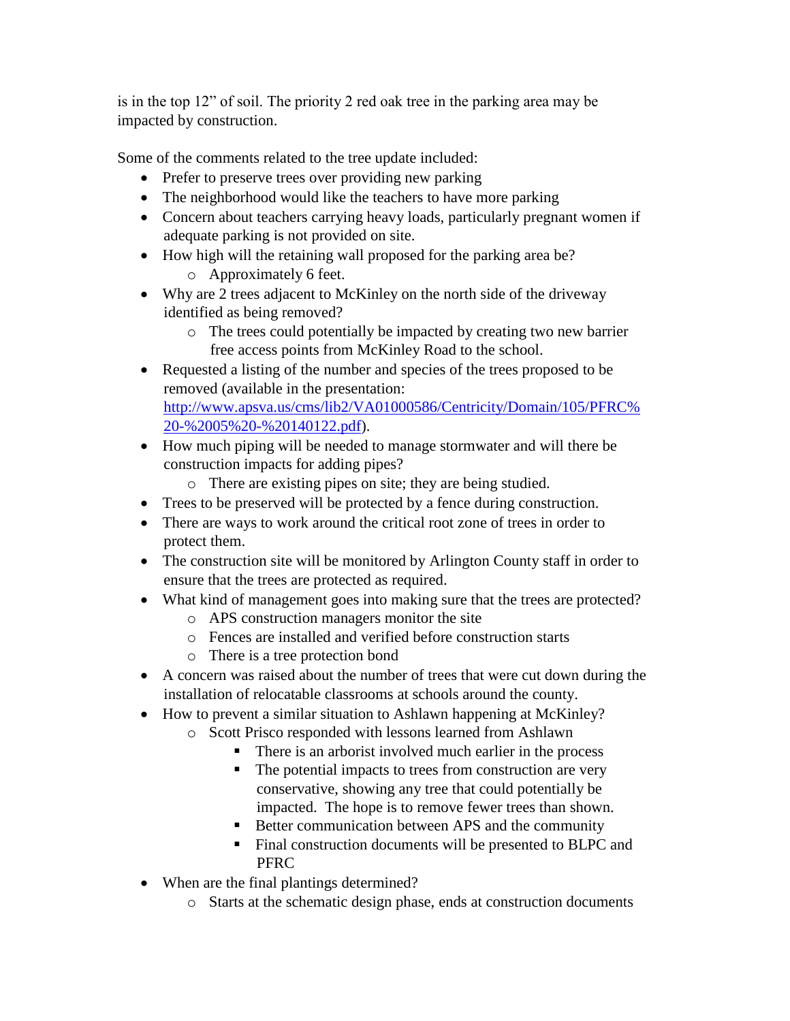is in the top 12" of soil. The priority 2 red oak tree in the parking area may be impacted by construction.

Some of the comments related to the tree update included:

- Prefer to preserve trees over providing new parking
- The neighborhood would like the teachers to have more parking
- Concern about teachers carrying heavy loads, particularly pregnant women if adequate parking is not provided on site.
- How high will the retaining wall proposed for the parking area be?
	- o Approximately 6 feet.
- Why are 2 trees adjacent to McKinley on the north side of the driveway identified as being removed?
	- o The trees could potentially be impacted by creating two new barrier free access points from McKinley Road to the school.
- Requested a listing of the number and species of the trees proposed to be removed (available in the presentation: [http://www.apsva.us/cms/lib2/VA01000586/Centricity/Domain/105/PFRC%](http://www.apsva.us/cms/lib2/VA01000586/Centricity/Domain/105/PFRC%20-%2005%20-%20140122.pdf) [20-%2005%20-%20140122.pdf\)](http://www.apsva.us/cms/lib2/VA01000586/Centricity/Domain/105/PFRC%20-%2005%20-%20140122.pdf).
- How much piping will be needed to manage stormwater and will there be construction impacts for adding pipes?
	- o There are existing pipes on site; they are being studied.
- Trees to be preserved will be protected by a fence during construction.
- There are ways to work around the critical root zone of trees in order to protect them.
- The construction site will be monitored by Arlington County staff in order to ensure that the trees are protected as required.
- What kind of management goes into making sure that the trees are protected?
	- o APS construction managers monitor the site
	- o Fences are installed and verified before construction starts
	- o There is a tree protection bond
- A concern was raised about the number of trees that were cut down during the installation of relocatable classrooms at schools around the county.
- How to prevent a similar situation to Ashlawn happening at McKinley?
	- o Scott Prisco responded with lessons learned from Ashlawn
		- There is an arborist involved much earlier in the process
		- The potential impacts to trees from construction are very conservative, showing any tree that could potentially be impacted. The hope is to remove fewer trees than shown.
		- Better communication between APS and the community
		- Final construction documents will be presented to BLPC and PFRC
- When are the final plantings determined?
	- o Starts at the schematic design phase, ends at construction documents